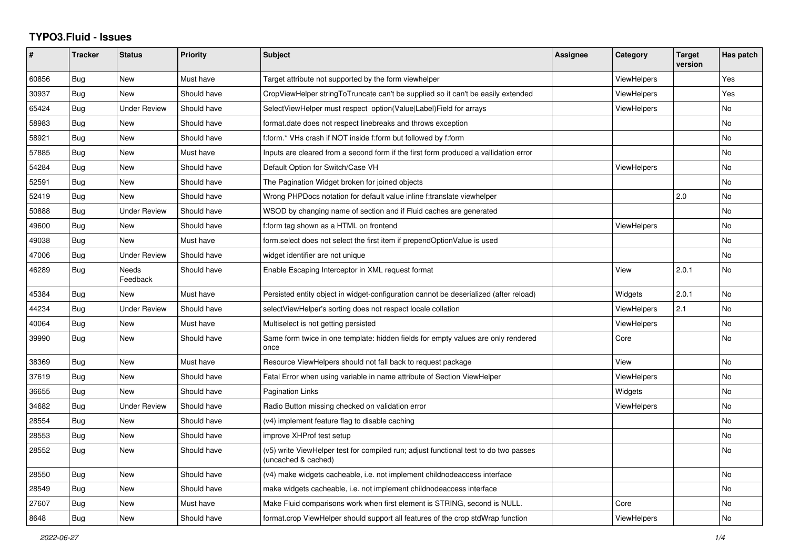## **TYPO3.Fluid - Issues**

| #     | <b>Tracker</b> | <b>Status</b>            | <b>Priority</b> | <b>Subject</b>                                                                                              | Assignee | Category           | <b>Target</b><br>version | Has patch      |
|-------|----------------|--------------------------|-----------------|-------------------------------------------------------------------------------------------------------------|----------|--------------------|--------------------------|----------------|
| 60856 | Bug            | New                      | Must have       | Target attribute not supported by the form viewhelper                                                       |          | ViewHelpers        |                          | Yes            |
| 30937 | <b>Bug</b>     | New                      | Should have     | CropViewHelper stringToTruncate can't be supplied so it can't be easily extended                            |          | <b>ViewHelpers</b> |                          | Yes            |
| 65424 | <b>Bug</b>     | <b>Under Review</b>      | Should have     | SelectViewHelper must respect option(Value Label)Field for arrays                                           |          | <b>ViewHelpers</b> |                          | <b>No</b>      |
| 58983 | Bug            | New                      | Should have     | format.date does not respect linebreaks and throws exception                                                |          |                    |                          | <b>No</b>      |
| 58921 | <b>Bug</b>     | New                      | Should have     | f:form.* VHs crash if NOT inside f:form but followed by f:form                                              |          |                    |                          | No             |
| 57885 | Bug            | New                      | Must have       | Inputs are cleared from a second form if the first form produced a vallidation error                        |          |                    |                          | No             |
| 54284 | <b>Bug</b>     | New                      | Should have     | Default Option for Switch/Case VH                                                                           |          | <b>ViewHelpers</b> |                          | <b>No</b>      |
| 52591 | Bug            | New                      | Should have     | The Pagination Widget broken for joined objects                                                             |          |                    |                          | No             |
| 52419 | Bug            | New                      | Should have     | Wrong PHPDocs notation for default value inline f:translate viewhelper                                      |          |                    | 2.0                      | No             |
| 50888 | Bug            | <b>Under Review</b>      | Should have     | WSOD by changing name of section and if Fluid caches are generated                                          |          |                    |                          | N <sub>o</sub> |
| 49600 | Bug            | <b>New</b>               | Should have     | f:form tag shown as a HTML on frontend                                                                      |          | <b>ViewHelpers</b> |                          | <b>No</b>      |
| 49038 | Bug            | New                      | Must have       | form.select does not select the first item if prependOptionValue is used                                    |          |                    |                          | No             |
| 47006 | Bug            | <b>Under Review</b>      | Should have     | widget identifier are not unique                                                                            |          |                    |                          | No             |
| 46289 | Bug            | <b>Needs</b><br>Feedback | Should have     | Enable Escaping Interceptor in XML request format                                                           |          | View               | 2.0.1                    | <b>No</b>      |
| 45384 | Bug            | New                      | Must have       | Persisted entity object in widget-configuration cannot be deserialized (after reload)                       |          | Widgets            | 2.0.1                    | No             |
| 44234 | <b>Bug</b>     | <b>Under Review</b>      | Should have     | selectViewHelper's sorting does not respect locale collation                                                |          | <b>ViewHelpers</b> | 2.1                      | <b>No</b>      |
| 40064 | Bug            | New                      | Must have       | Multiselect is not getting persisted                                                                        |          | <b>ViewHelpers</b> |                          | No             |
| 39990 | Bug            | New                      | Should have     | Same form twice in one template: hidden fields for empty values are only rendered<br>once                   |          | Core               |                          | <b>No</b>      |
| 38369 | Bug            | New                      | Must have       | Resource ViewHelpers should not fall back to request package                                                |          | View               |                          | <b>No</b>      |
| 37619 | Bug            | New                      | Should have     | Fatal Error when using variable in name attribute of Section ViewHelper                                     |          | ViewHelpers        |                          | No             |
| 36655 | Bug            | <b>New</b>               | Should have     | <b>Pagination Links</b>                                                                                     |          | Widgets            |                          | <b>No</b>      |
| 34682 | <b>Bug</b>     | Under Review             | Should have     | Radio Button missing checked on validation error                                                            |          | <b>ViewHelpers</b> |                          | <b>No</b>      |
| 28554 | Bug            | New                      | Should have     | (v4) implement feature flag to disable caching                                                              |          |                    |                          | <b>No</b>      |
| 28553 | Bug            | New                      | Should have     | improve XHProf test setup                                                                                   |          |                    |                          | No             |
| 28552 | Bug            | New                      | Should have     | (v5) write ViewHelper test for compiled run; adjust functional test to do two passes<br>(uncached & cached) |          |                    |                          | No             |
| 28550 | Bug            | New                      | Should have     | (v4) make widgets cacheable, i.e. not implement childnodeaccess interface                                   |          |                    |                          | <b>No</b>      |
| 28549 | <b>Bug</b>     | New                      | Should have     | make widgets cacheable, i.e. not implement childnodeaccess interface                                        |          |                    |                          | <b>No</b>      |
| 27607 | Bug            | New                      | Must have       | Make Fluid comparisons work when first element is STRING, second is NULL.                                   |          | Core               |                          | No             |
| 8648  | Bug            | New                      | Should have     | format.crop ViewHelper should support all features of the crop stdWrap function                             |          | <b>ViewHelpers</b> |                          | No             |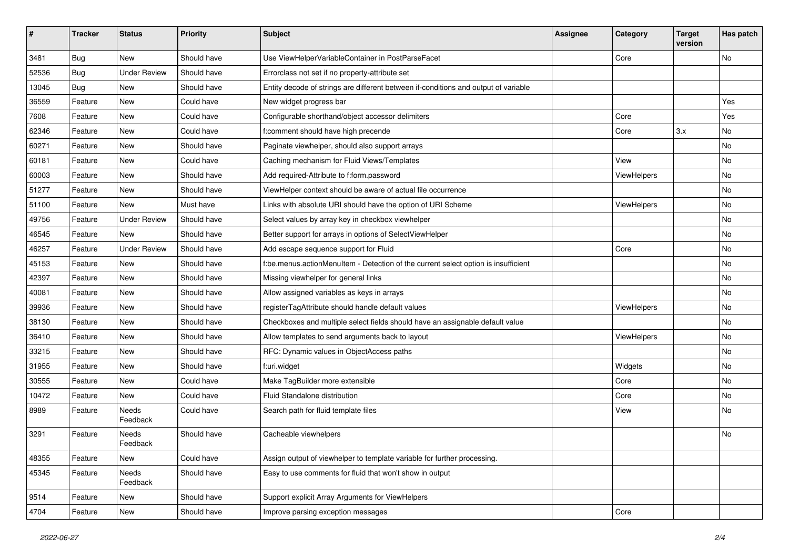| #     | <b>Tracker</b> | <b>Status</b>       | <b>Priority</b> | <b>Subject</b>                                                                      | <b>Assignee</b> | Category    | <b>Target</b><br>version | Has patch |
|-------|----------------|---------------------|-----------------|-------------------------------------------------------------------------------------|-----------------|-------------|--------------------------|-----------|
| 3481  | Bug            | New                 | Should have     | Use ViewHelperVariableContainer in PostParseFacet                                   |                 | Core        |                          | No        |
| 52536 | Bug            | <b>Under Review</b> | Should have     | Errorclass not set if no property-attribute set                                     |                 |             |                          |           |
| 13045 | Bug            | New                 | Should have     | Entity decode of strings are different between if-conditions and output of variable |                 |             |                          |           |
| 36559 | Feature        | New                 | Could have      | New widget progress bar                                                             |                 |             |                          | Yes       |
| 7608  | Feature        | New                 | Could have      | Configurable shorthand/object accessor delimiters                                   |                 | Core        |                          | Yes       |
| 62346 | Feature        | New                 | Could have      | f:comment should have high precende                                                 |                 | Core        | 3.x                      | No        |
| 60271 | Feature        | New                 | Should have     | Paginate viewhelper, should also support arrays                                     |                 |             |                          | No        |
| 60181 | Feature        | New                 | Could have      | Caching mechanism for Fluid Views/Templates                                         |                 | View        |                          | No        |
| 60003 | Feature        | New                 | Should have     | Add required-Attribute to f:form.password                                           |                 | ViewHelpers |                          | No        |
| 51277 | Feature        | New                 | Should have     | ViewHelper context should be aware of actual file occurrence                        |                 |             |                          | No        |
| 51100 | Feature        | <b>New</b>          | Must have       | Links with absolute URI should have the option of URI Scheme                        |                 | ViewHelpers |                          | No        |
| 49756 | Feature        | <b>Under Review</b> | Should have     | Select values by array key in checkbox viewhelper                                   |                 |             |                          | No        |
| 46545 | Feature        | New                 | Should have     | Better support for arrays in options of SelectViewHelper                            |                 |             |                          | No        |
| 46257 | Feature        | <b>Under Review</b> | Should have     | Add escape sequence support for Fluid                                               |                 | Core        |                          | No        |
| 45153 | Feature        | <b>New</b>          | Should have     | f:be.menus.actionMenuItem - Detection of the current select option is insufficient  |                 |             |                          | No        |
| 42397 | Feature        | New                 | Should have     | Missing viewhelper for general links                                                |                 |             |                          | No        |
| 40081 | Feature        | New                 | Should have     | Allow assigned variables as keys in arrays                                          |                 |             |                          | No        |
| 39936 | Feature        | New                 | Should have     | registerTagAttribute should handle default values                                   |                 | ViewHelpers |                          | No        |
| 38130 | Feature        | New                 | Should have     | Checkboxes and multiple select fields should have an assignable default value       |                 |             |                          | No        |
| 36410 | Feature        | New                 | Should have     | Allow templates to send arguments back to layout                                    |                 | ViewHelpers |                          | No        |
| 33215 | Feature        | New                 | Should have     | RFC: Dynamic values in ObjectAccess paths                                           |                 |             |                          | No        |
| 31955 | Feature        | New                 | Should have     | f:uri.widget                                                                        |                 | Widgets     |                          | No        |
| 30555 | Feature        | New                 | Could have      | Make TagBuilder more extensible                                                     |                 | Core        |                          | No        |
| 10472 | Feature        | New                 | Could have      | Fluid Standalone distribution                                                       |                 | Core        |                          | No        |
| 8989  | Feature        | Needs<br>Feedback   | Could have      | Search path for fluid template files                                                |                 | View        |                          | No        |
| 3291  | Feature        | Needs<br>Feedback   | Should have     | Cacheable viewhelpers                                                               |                 |             |                          | No        |
| 48355 | Feature        | New                 | Could have      | Assign output of viewhelper to template variable for further processing.            |                 |             |                          |           |
| 45345 | Feature        | Needs<br>Feedback   | Should have     | Easy to use comments for fluid that won't show in output                            |                 |             |                          |           |
| 9514  | Feature        | New                 | Should have     | Support explicit Array Arguments for ViewHelpers                                    |                 |             |                          |           |
| 4704  | Feature        | New                 | Should have     | Improve parsing exception messages                                                  |                 | Core        |                          |           |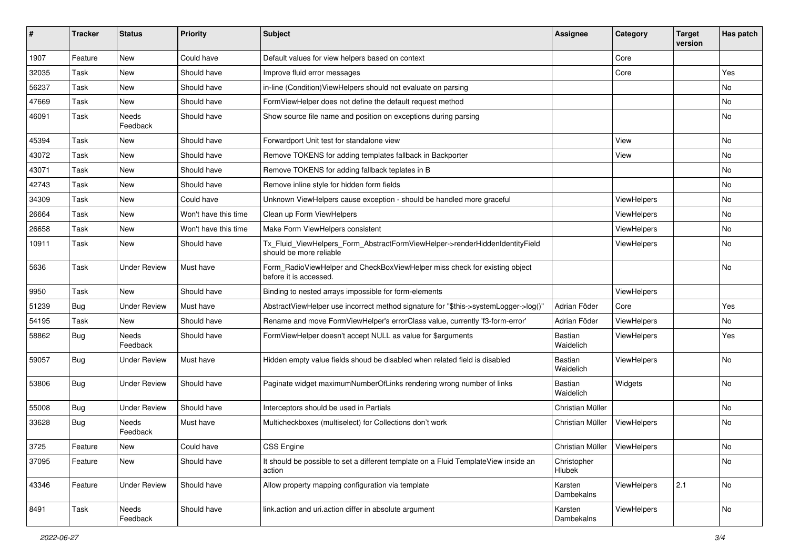| #     | <b>Tracker</b> | <b>Status</b>       | <b>Priority</b>      | <b>Subject</b>                                                                                         | <b>Assignee</b>                | Category    | <b>Target</b><br>version | Has patch |
|-------|----------------|---------------------|----------------------|--------------------------------------------------------------------------------------------------------|--------------------------------|-------------|--------------------------|-----------|
| 1907  | Feature        | New                 | Could have           | Default values for view helpers based on context                                                       |                                | Core        |                          |           |
| 32035 | Task           | New                 | Should have          | Improve fluid error messages                                                                           |                                | Core        |                          | Yes       |
| 56237 | Task           | New                 | Should have          | in-line (Condition) View Helpers should not evaluate on parsing                                        |                                |             |                          | No        |
| 47669 | Task           | New                 | Should have          | FormViewHelper does not define the default request method                                              |                                |             |                          | No        |
| 46091 | Task           | Needs<br>Feedback   | Should have          | Show source file name and position on exceptions during parsing                                        |                                |             |                          | No        |
| 45394 | Task           | New                 | Should have          | Forwardport Unit test for standalone view                                                              |                                | View        |                          | No        |
| 43072 | Task           | New                 | Should have          | Remove TOKENS for adding templates fallback in Backporter                                              |                                | View        |                          | No        |
| 43071 | Task           | New                 | Should have          | Remove TOKENS for adding fallback teplates in B                                                        |                                |             |                          | No        |
| 42743 | Task           | New                 | Should have          | Remove inline style for hidden form fields                                                             |                                |             |                          | No        |
| 34309 | Task           | New                 | Could have           | Unknown ViewHelpers cause exception - should be handled more graceful                                  |                                | ViewHelpers |                          | <b>No</b> |
| 26664 | Task           | New                 | Won't have this time | Clean up Form ViewHelpers                                                                              |                                | ViewHelpers |                          | No        |
| 26658 | Task           | New                 | Won't have this time | Make Form ViewHelpers consistent                                                                       |                                | ViewHelpers |                          | No        |
| 10911 | Task           | New                 | Should have          | Tx_Fluid_ViewHelpers_Form_AbstractFormViewHelper->renderHiddenIdentityField<br>should be more reliable |                                | ViewHelpers |                          | No        |
| 5636  | Task           | <b>Under Review</b> | Must have            | Form_RadioViewHelper and CheckBoxViewHelper miss check for existing object<br>before it is accessed.   |                                |             |                          | <b>No</b> |
| 9950  | Task           | New                 | Should have          | Binding to nested arrays impossible for form-elements                                                  |                                | ViewHelpers |                          |           |
| 51239 | <b>Bug</b>     | <b>Under Review</b> | Must have            | AbstractViewHelper use incorrect method signature for "\$this->systemLogger->log()"                    | Adrian Föder                   | Core        |                          | Yes       |
| 54195 | Task           | New                 | Should have          | Rename and move FormViewHelper's errorClass value, currently 'f3-form-error'                           | Adrian Föder                   | ViewHelpers |                          | No        |
| 58862 | Bug            | Needs<br>Feedback   | Should have          | FormViewHelper doesn't accept NULL as value for \$arguments                                            | Bastian<br>Waidelich           | ViewHelpers |                          | Yes       |
| 59057 | Bug            | Under Review        | Must have            | Hidden empty value fields shoud be disabled when related field is disabled                             | Bastian<br>Waidelich           | ViewHelpers |                          | No        |
| 53806 | Bug            | <b>Under Review</b> | Should have          | Paginate widget maximumNumberOfLinks rendering wrong number of links                                   | Bastian<br>Waidelich           | Widgets     |                          | No        |
| 55008 | <b>Bug</b>     | Under Review        | Should have          | Interceptors should be used in Partials                                                                | Christian Müller               |             |                          | No        |
| 33628 | Bug            | Needs<br>Feedback   | Must have            | Multicheckboxes (multiselect) for Collections don't work                                               | Christian Müller               | ViewHelpers |                          | <b>No</b> |
| 3725  | Feature        | New                 | Could have           | CSS Engine                                                                                             | Christian Müller   ViewHelpers |             |                          | No        |
| 37095 | Feature        | New                 | Should have          | It should be possible to set a different template on a Fluid TemplateView inside an<br>action          | Christopher<br>Hlubek          |             |                          | No        |
| 43346 | Feature        | <b>Under Review</b> | Should have          | Allow property mapping configuration via template                                                      | Karsten<br>Dambekalns          | ViewHelpers | 2.1                      | No        |
| 8491  | Task           | Needs<br>Feedback   | Should have          | link.action and uri.action differ in absolute argument                                                 | Karsten<br>Dambekalns          | ViewHelpers |                          | No        |